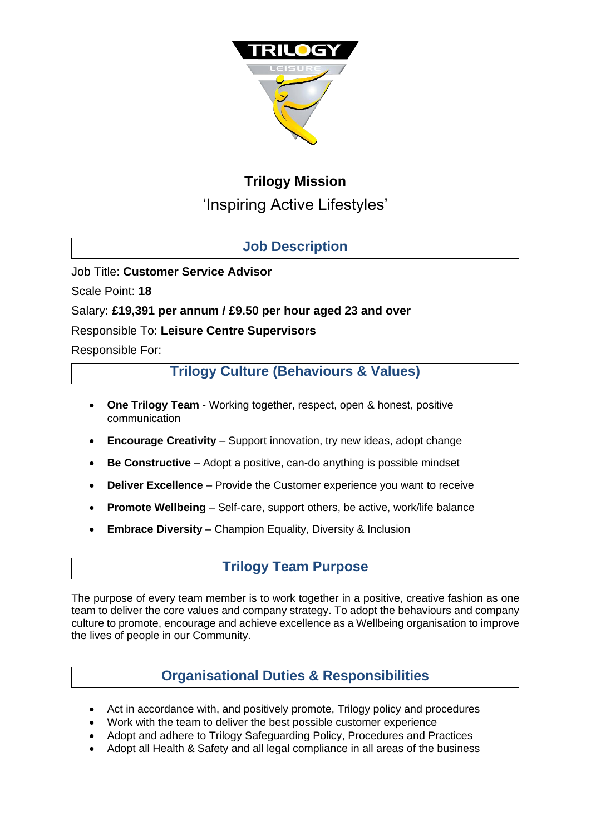

# **Trilogy Mission**

'Inspiring Active Lifestyles'

## **Job Description**

Job Title: **Customer Service Advisor**

Scale Point: **18**

#### Salary: **£19,391 per annum / £9.50 per hour aged 23 and over**

#### Responsible To: **Leisure Centre Supervisors**

Responsible For:

**Trilogy Culture (Behaviours & Values)**

- **One Trilogy Team**  Working together, respect, open & honest, positive communication
- **Encourage Creativity** Support innovation, try new ideas, adopt change
- **Be Constructive**  Adopt a positive, can-do anything is possible mindset
- **Deliver Excellence** Provide the Customer experience you want to receive
- **Promote Wellbeing**  Self-care, support others, be active, work/life balance
- **Embrace Diversity**  Champion Equality, Diversity & Inclusion

## **Trilogy Team Purpose**

The purpose of every team member is to work together in a positive, creative fashion as one team to deliver the core values and company strategy. To adopt the behaviours and company culture to promote, encourage and achieve excellence as a Wellbeing organisation to improve the lives of people in our Community.

## **Organisational Duties & Responsibilities**

- Act in accordance with, and positively promote, Trilogy policy and procedures
- Work with the team to deliver the best possible customer experience
- Adopt and adhere to Trilogy Safeguarding Policy, Procedures and Practices
- Adopt all Health & Safety and all legal compliance in all areas of the business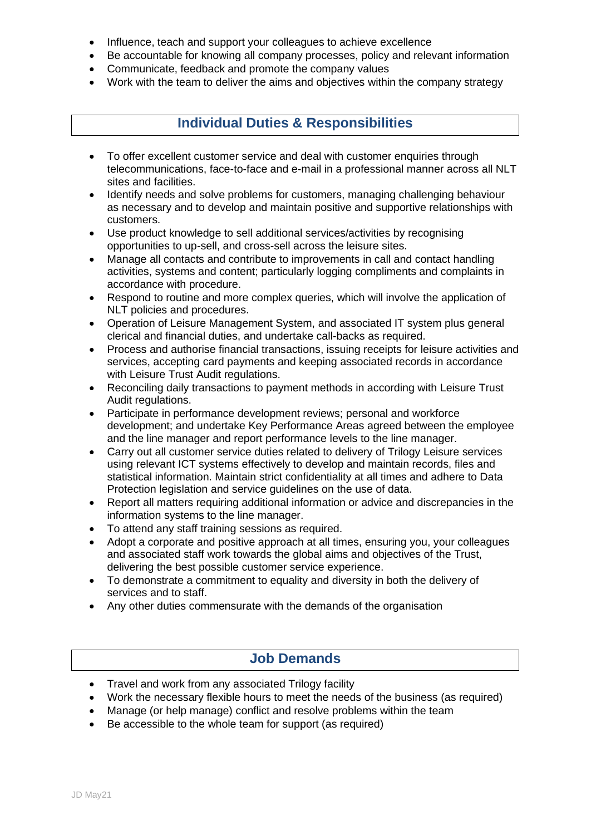- Influence, teach and support your colleagues to achieve excellence
- Be accountable for knowing all company processes, policy and relevant information
- Communicate, feedback and promote the company values
- Work with the team to deliver the aims and objectives within the company strategy

### **Individual Duties & Responsibilities**

- To offer excellent customer service and deal with customer enquiries through telecommunications, face-to-face and e-mail in a professional manner across all NLT sites and facilities.
- Identify needs and solve problems for customers, managing challenging behaviour as necessary and to develop and maintain positive and supportive relationships with customers.
- Use product knowledge to sell additional services/activities by recognising opportunities to up-sell, and cross-sell across the leisure sites.
- Manage all contacts and contribute to improvements in call and contact handling activities, systems and content; particularly logging compliments and complaints in accordance with procedure.
- Respond to routine and more complex queries, which will involve the application of NLT policies and procedures.
- Operation of Leisure Management System, and associated IT system plus general clerical and financial duties, and undertake call-backs as required.
- Process and authorise financial transactions, issuing receipts for leisure activities and services, accepting card payments and keeping associated records in accordance with Leisure Trust Audit regulations.
- Reconciling daily transactions to payment methods in according with Leisure Trust Audit regulations.
- Participate in performance development reviews; personal and workforce development; and undertake Key Performance Areas agreed between the employee and the line manager and report performance levels to the line manager.
- Carry out all customer service duties related to delivery of Trilogy Leisure services using relevant ICT systems effectively to develop and maintain records, files and statistical information. Maintain strict confidentiality at all times and adhere to Data Protection legislation and service guidelines on the use of data.
- Report all matters requiring additional information or advice and discrepancies in the information systems to the line manager.
- To attend any staff training sessions as required.
- Adopt a corporate and positive approach at all times, ensuring you, your colleagues and associated staff work towards the global aims and objectives of the Trust, delivering the best possible customer service experience.
- To demonstrate a commitment to equality and diversity in both the delivery of services and to staff.
- Any other duties commensurate with the demands of the organisation

#### **Job Demands**

- Travel and work from any associated Trilogy facility
- Work the necessary flexible hours to meet the needs of the business (as required)
- Manage (or help manage) conflict and resolve problems within the team
- Be accessible to the whole team for support (as required)